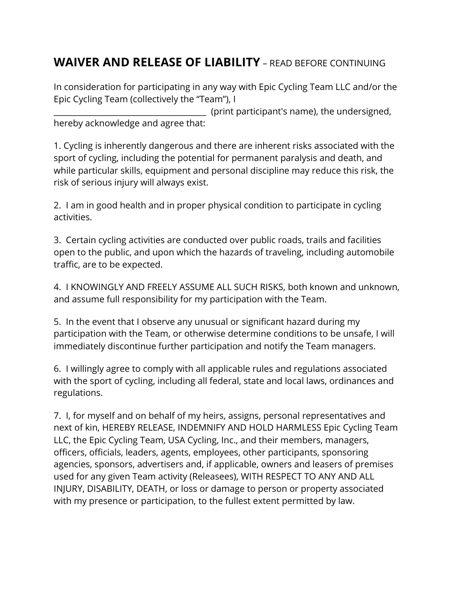## **WAIVER AND RELEASE OF LIABILITY** – READ BEFORE CONTINUING

In consideration for participating in any way with Epic Cycling Team LLC and/or the Epic Cycling Team (collectively the "Team"), I

\_\_\_\_\_\_\_\_\_\_\_\_\_\_\_\_\_\_\_\_\_\_\_\_\_\_\_\_\_\_\_\_\_\_\_\_\_\_ (print participant's name), the undersigned, hereby acknowledge and agree that:

1. Cycling is inherently dangerous and there are inherent risks associated with the sport of cycling, including the potential for permanent paralysis and death, and while particular skills, equipment and personal discipline may reduce this risk, the risk of serious injury will always exist.

2. I am in good health and in proper physical condition to participate in cycling activities.

3. Certain cycling activities are conducted over public roads, trails and facilities open to the public, and upon which the hazards of traveling, including automobile traffic, are to be expected.

4. I KNOWINGLY AND FREELY ASSUME ALL SUCH RISKS, both known and unknown, and assume full responsibility for my participation with the Team.

5. In the event that I observe any unusual or significant hazard during my participation with the Team, or otherwise determine conditions to be unsafe, I will immediately discontinue further participation and notify the Team managers.

6. I willingly agree to comply with all applicable rules and regulations associated with the sport of cycling, including all federal, state and local laws, ordinances and regulations.

7. I, for myself and on behalf of my heirs, assigns, personal representatives and next of kin, HEREBY RELEASE, INDEMNIFY AND HOLD HARMLESS Epic Cycling Team LLC, the Epic Cycling Team, USA Cycling, Inc., and their members, managers, officers, officials, leaders, agents, employees, other participants, sponsoring agencies, sponsors, advertisers and, if applicable, owners and leasers of premises used for any given Team activity (Releasees), WITH RESPECT TO ANY AND ALL INJURY, DISABILITY, DEATH, or loss or damage to person or property associated with my presence or participation, to the fullest extent permitted by law.